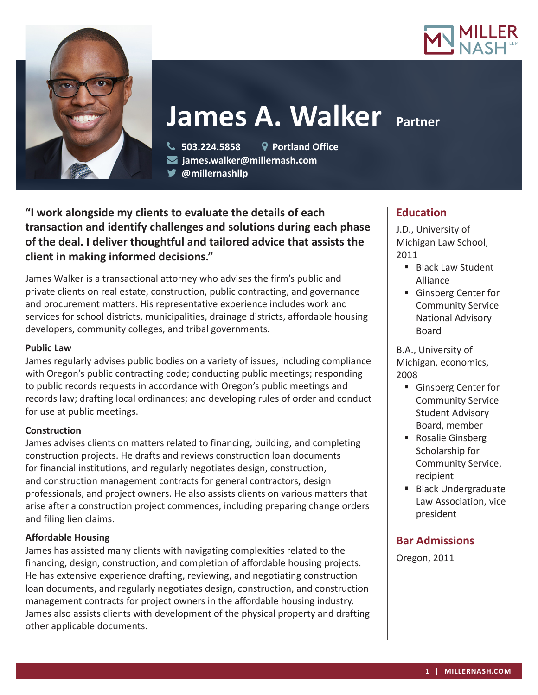



# **James A. Walker Partner**

 **503.224.5858 Portland Office james.walker@millernash.com** 

**@millernashllp** 

**"I work alongside my clients to evaluate the details of each transaction and identify challenges and solutions during each phase of the deal. I deliver thoughtful and tailored advice that assists the client in making informed decisions."**

James Walker is a transactional attorney who advises the firm's public and private clients on real estate, construction, public contracting, and governance and procurement matters. His representative experience includes work and services for school districts, municipalities, drainage districts, affordable housing developers, community colleges, and tribal governments.

#### **Public Law**

James regularly advises public bodies on a variety of issues, including compliance with Oregon's public contracting code; conducting public meetings; responding to public records requests in accordance with Oregon's public meetings and records law; drafting local ordinances; and developing rules of order and conduct for use at public meetings.

#### **Construction**

James advises clients on matters related to financing, building, and completing construction projects. He drafts and reviews construction loan documents for financial institutions, and regularly negotiates design, construction, and construction management contracts for general contractors, design professionals, and project owners. He also assists clients on various matters that arise after a construction project commences, including preparing change orders and filing lien claims.

#### **Affordable Housing**

James has assisted many clients with navigating complexities related to the financing, design, construction, and completion of affordable housing projects. He has extensive experience drafting, reviewing, and negotiating construction loan documents, and regularly negotiates design, construction, and construction management contracts for project owners in the affordable housing industry. James also assists clients with development of the physical property and drafting other applicable documents.

# **Education**

J.D., University of Michigan Law School, 2011

- **Black Law Student** Alliance
- Ginsberg Center for Community Service National Advisory Board

B.A., University of Michigan, economics, 2008

- Ginsberg Center for Community Service Student Advisory Board, member
- Rosalie Ginsberg Scholarship for Community Service, recipient
- **Black Undergraduate** Law Association, vice president

# **Bar Admissions**

Oregon, 2011